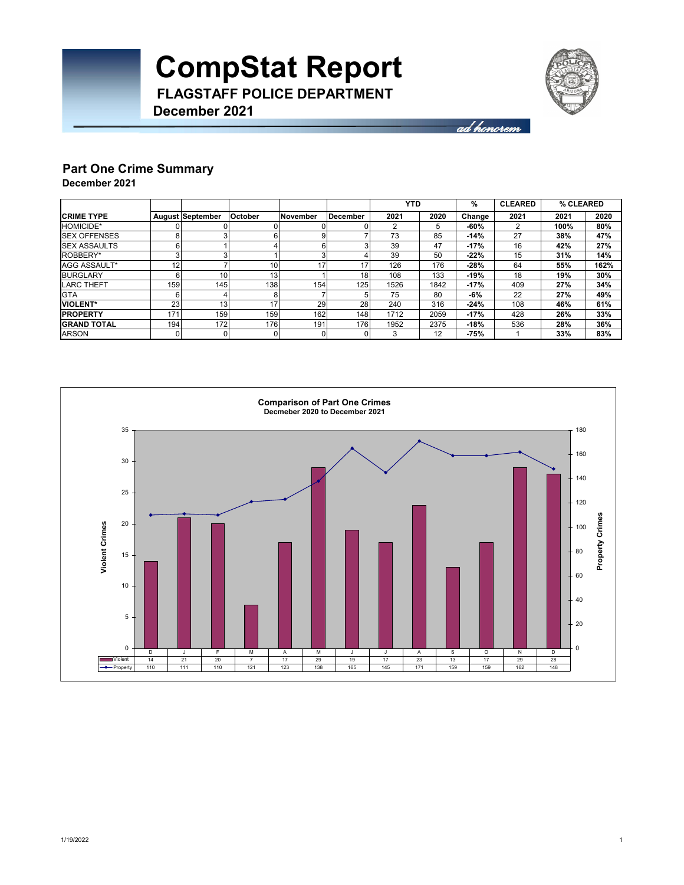

ad honorem

#### **Part One Crime Summary December 2021**

**December 2021**

|                      |     |                         |                 |          |          | <b>YTD</b> |      | %      | <b>CLEARED</b> | % CLEARED |      |
|----------------------|-----|-------------------------|-----------------|----------|----------|------------|------|--------|----------------|-----------|------|
| <b>CRIME TYPE</b>    |     | <b>August September</b> | October         | November | December | 2021       | 2020 | Change | 2021           | 2021      | 2020 |
| HOMICIDE*            |     |                         |                 |          |          |            | 5    | $-60%$ |                | 100%      | 80%  |
| <b>ISEX OFFENSES</b> | 8   |                         |                 |          |          | 73         | 85   | $-14%$ | 27             | 38%       | 47%  |
| <b>ISEX ASSAULTS</b> | 6   |                         |                 |          |          | 39         | 47   | $-17%$ | 16             | 42%       | 27%  |
| ROBBERY*             |     |                         |                 | з        |          | 39         | 50   | $-22%$ | 15             | 31%       | 14%  |
| AGG ASSAULT*         | 12  |                         | 10 <sub>1</sub> | 17       | 17       | 126        | 176  | $-28%$ | 64             | 55%       | 162% |
| <b>BURGLARY</b>      |     | 10                      | 13 <sub>1</sub> |          | 18       | 108        | 133  | $-19%$ | 18             | 19%       | 30%  |
| <b>LARC THEFT</b>    | 159 | 145                     | 138             | 154      | 125      | 1526       | 1842 | $-17%$ | 409            | 27%       | 34%  |
| <b>GTA</b>           |     |                         |                 |          |          | 75         | 80   | -6%    | 22             | 27%       | 49%  |
| <b>VIOLENT*</b>      | 23  | 13                      | 17              | 29       | 28       | 240        | 316  | $-24%$ | 108            | 46%       | 61%  |
| <b>PROPERTY</b>      | 171 | 159                     | 159             | 162      | 148      | 1712       | 2059 | $-17%$ | 428            | 26%       | 33%  |
| <b>GRAND TOTAL</b>   | 194 | 172                     | 176             | 191      | 176      | 1952       | 2375 | $-18%$ | 536            | 28%       | 36%  |
| <b>ARSON</b>         |     |                         | 0               |          |          | 3          | 12   | $-75%$ |                | 33%       | 83%  |

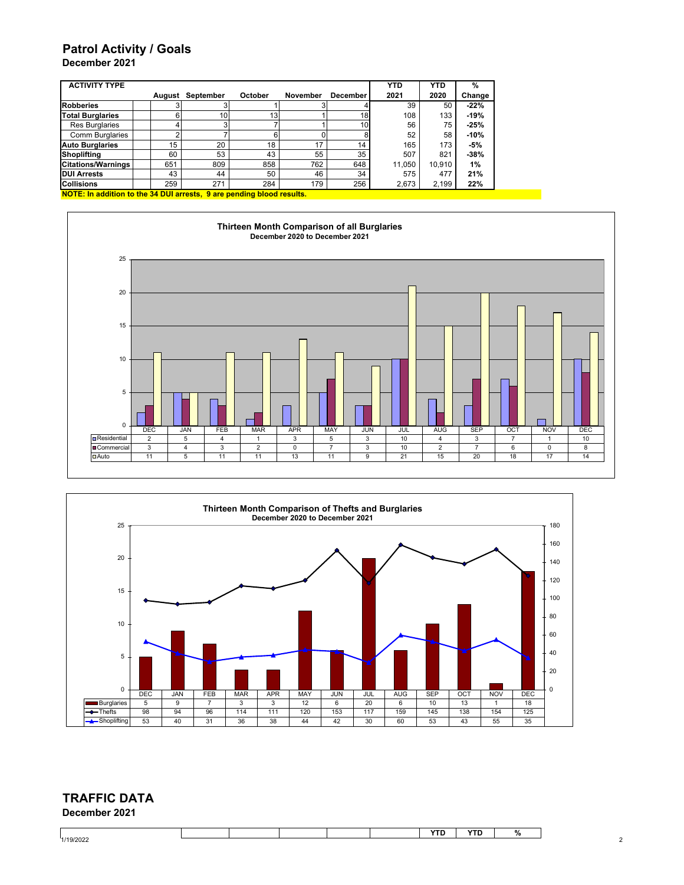### **Patrol Activity / Goals**

| December 2021 |  |
|---------------|--|
|---------------|--|

| <b>ACTIVITY TYPE</b>      |                                                                       |        |           |                 |                 |                 | <b>YTD</b> | <b>YTD</b> | %      |  |
|---------------------------|-----------------------------------------------------------------------|--------|-----------|-----------------|-----------------|-----------------|------------|------------|--------|--|
|                           |                                                                       | August | September | October         | <b>November</b> | <b>December</b> | 2021       | 2020       | Change |  |
| <b>Robberies</b>          |                                                                       |        |           |                 |                 |                 | 39         | 50         | $-22%$ |  |
| <b>Total Burglaries</b>   |                                                                       | 6      | 10        | 13 <sub>1</sub> |                 | 18              | 108        | 133        | $-19%$ |  |
| <b>Res Burglaries</b>     |                                                                       |        | 3         |                 |                 | 10              | 56         | 75         | $-25%$ |  |
| <b>Comm Burglaries</b>    |                                                                       |        |           |                 |                 |                 | 52         | 58         | $-10%$ |  |
| <b>Auto Burglaries</b>    |                                                                       | 15     | 20        | 18              | 17              | 14              | 165        | 173        | $-5%$  |  |
| Shoplifting               |                                                                       | 60     | 53        | 43              | 55              | 35              | 507        | 821        | $-38%$ |  |
| <b>Citations/Warnings</b> |                                                                       | 651    | 809       | 858             | 762             | 648             | 11.050     | 10.910     | 1%     |  |
| <b>DUI Arrests</b>        |                                                                       | 43     | 44        | 50              | 46              | 34              | 575        | 477        | 21%    |  |
| <b>Collisions</b>         |                                                                       | 259    | 271       | 284             | 179             | 256             | 2,673      | 2,199      | 22%    |  |
|                           | NOTE: In addition to the 34 DUI arrests. 9 are pending blood results. |        |           |                 |                 |                 |            |            |        |  |





### **December 2021 TRAFFIC DATA**

|           |  |  | <b>YTD</b> | $\mathbf{v}$<br>יי ו | $\Omega$<br>7٥ |
|-----------|--|--|------------|----------------------|----------------|
| 1/19/2022 |  |  |            |                      |                |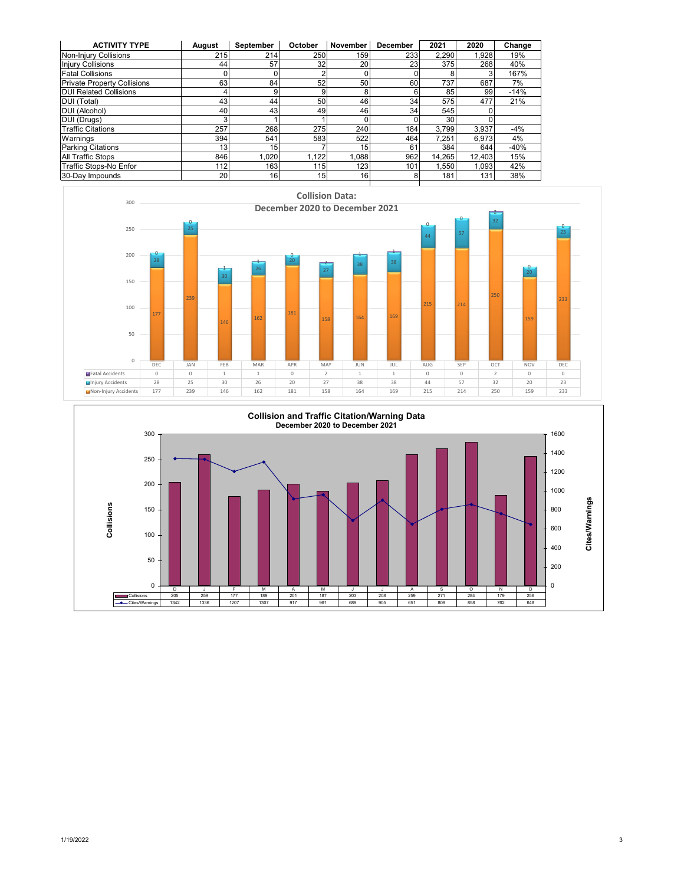| <b>ACTIVITY TYPE</b>               | August | September       | October         | November        | <b>December</b> | 2021   | 2020   | Change |
|------------------------------------|--------|-----------------|-----------------|-----------------|-----------------|--------|--------|--------|
| Non-Injury Collisions              | 215    | 214             | 250             | 159             | 233             | 2,290  | 1.928  | 19%    |
| <b>Injury Collisions</b>           | 44     | 57              | 32              | <b>20</b>       | 23              | 375    | 268    | 40%    |
| <b>Fatal Collisions</b>            |        |                 |                 |                 |                 |        |        | 167%   |
| <b>Private Property Collisions</b> | 63     | 84              | 52              | 50              | 60              | 737    | 687    | 7%     |
| <b>DUI Related Collisions</b>      |        | 9               |                 | 8               | 6               | 85     | 99     | $-14%$ |
| DUI (Total)                        | 43     | 44              | 50              | 46              | 34              | 575    | 477    | 21%    |
| DUI (Alcohol)                      | 40     | 43              | 49              | 46              | 34              | 545    |        |        |
| DUI (Drugs)                        |        |                 |                 | 0               |                 | 30     |        |        |
| <b>Traffic Citations</b>           | 257    | 268             | 275             | 240             | 184             | 3,799  | 3.937  | $-4%$  |
| Warnings                           | 394    | 541             | 583             | 522             | 464             | 7.251  | 6.973  | 4%     |
| <b>Parking Citations</b>           | 13     | 15 <sub>1</sub> |                 | 15              | 61              | 384    | 644    | $-40%$ |
| <b>All Traffic Stops</b>           | 846    | 1.020           | 1.122           | 1.088           | 962             | 14.265 | 12.403 | 15%    |
| Traffic Stops-No Enfor             | 112    | 163             | 115             | 123             | 101             | .550   | 1.093  | 42%    |
| 30-Day Impounds                    | 20     | 16              | 15 <sub>1</sub> | 16 <sub>1</sub> |                 | 181    | 131    | 38%    |



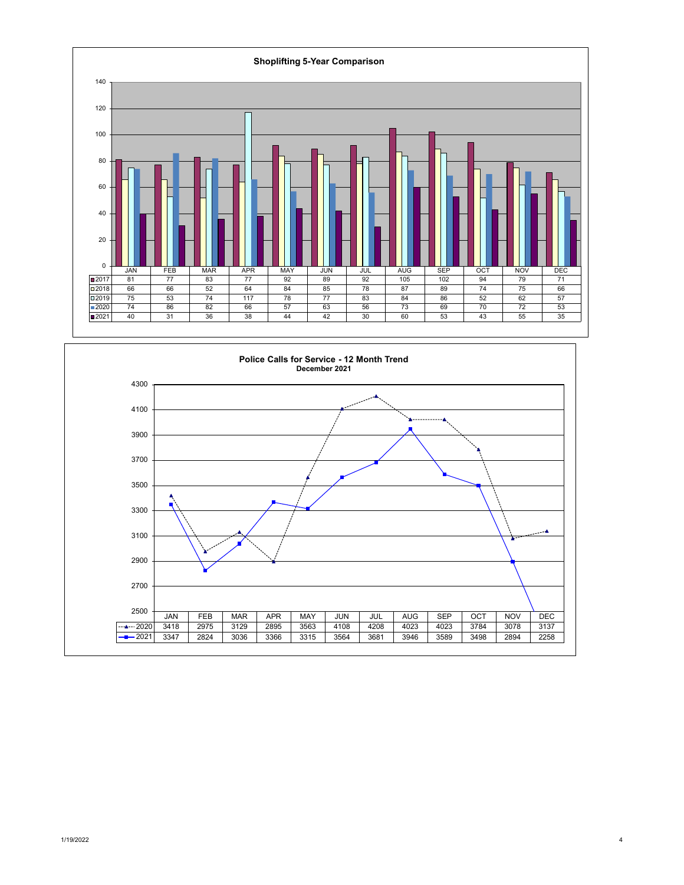

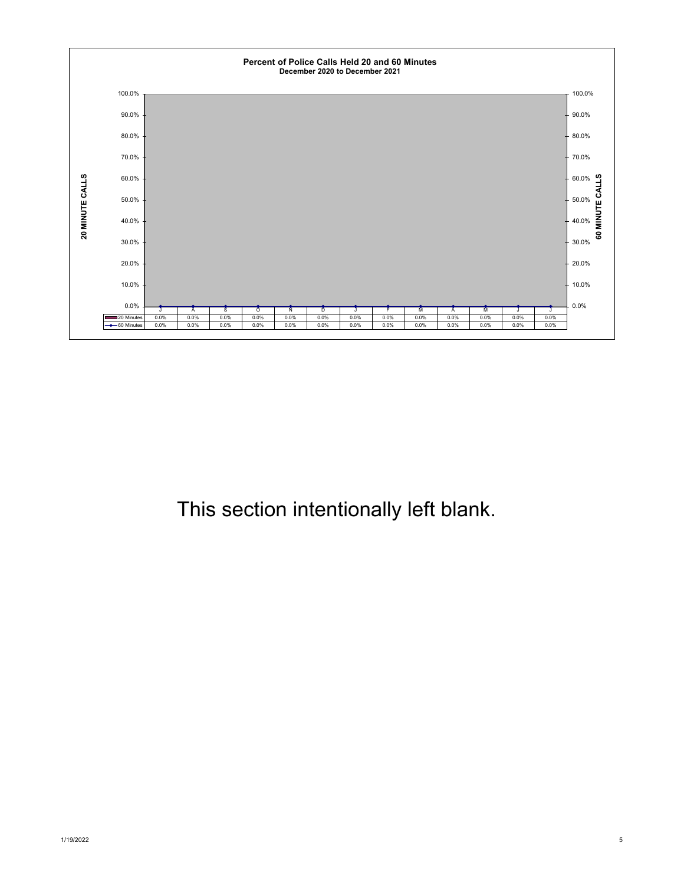

## This section intentionally left blank.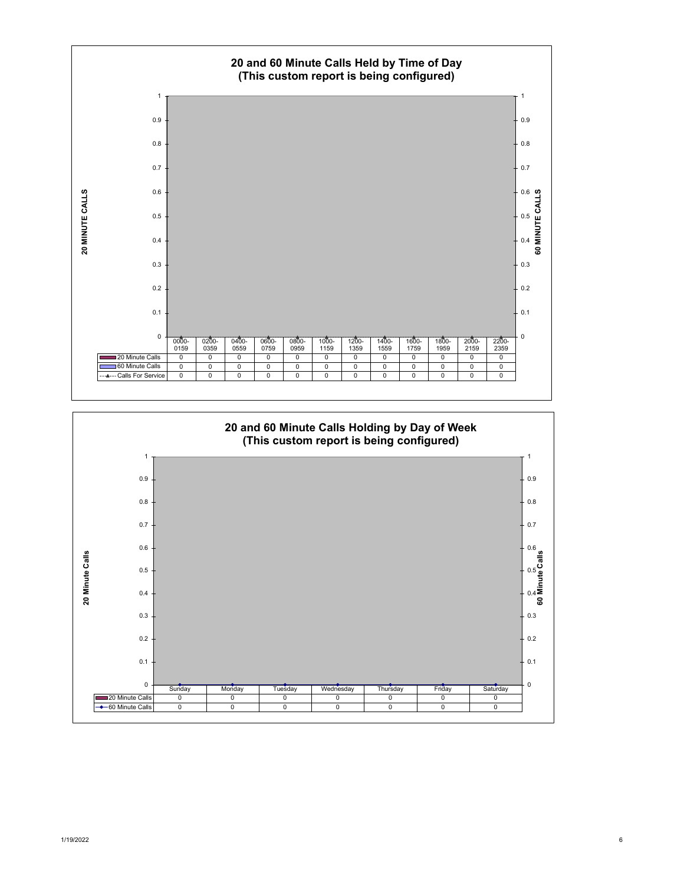

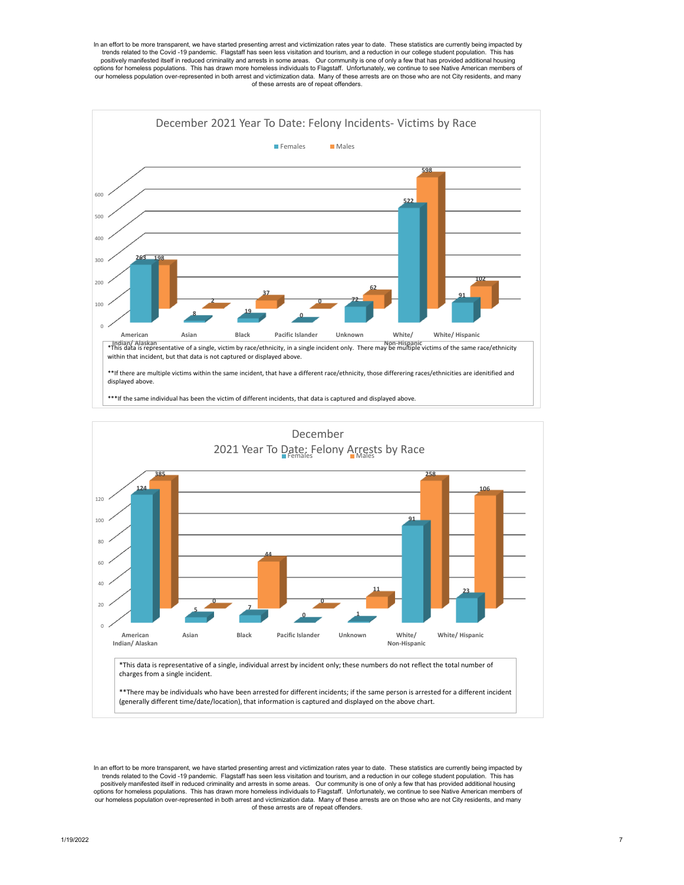





In an effort to be more transparent, we have started presenting arrest and victimization rates year to date. These statistics are currently being impacted by trends related to the Covid -19 pandemic. Flagstaff has seen less visitation and tourism, and a reduction in our college student population. This has positively manifested itself in reduced criminality and arrests in some areas. Our community is one of only a few that has provided additional housing options for homeless populations. This has drawn more homeless individuals to Flagstaff. Unfortunately, we continue to see Native American members of<br>our homeless population over-represented in both arrest and victimizatio of these arrests are of repeat offenders.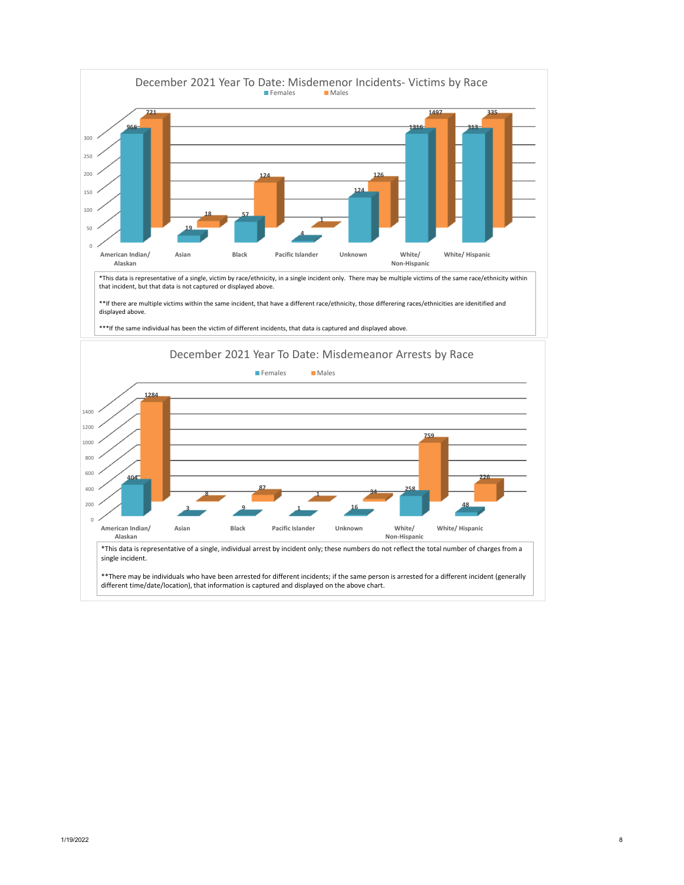

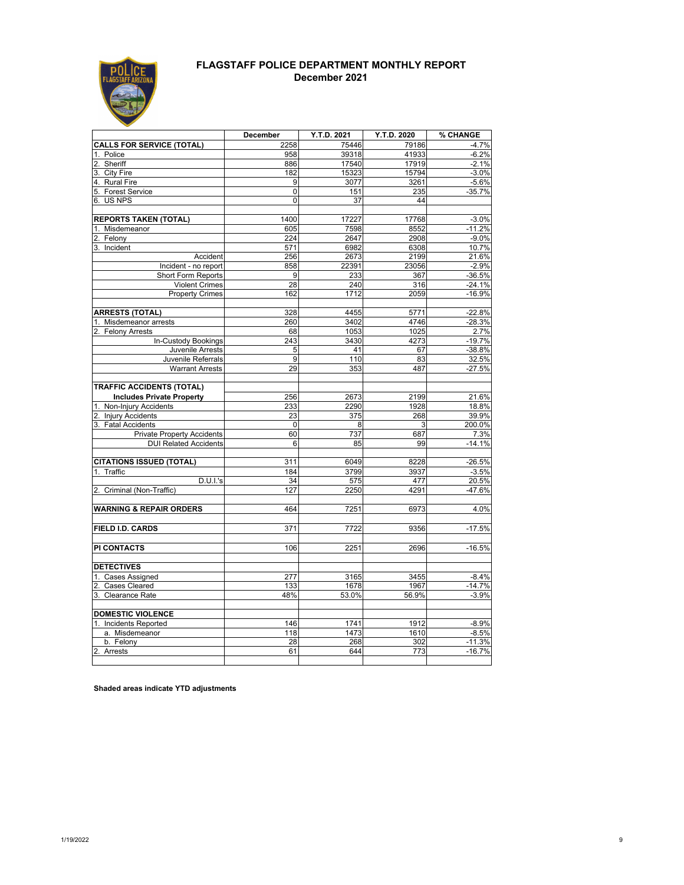

#### **FLAGSTAFF POLICE DEPARTMENT MONTHLY REPORT December 2021**

|                                               | December     | Y.T.D. 2021   | Y.T.D. 2020  | % CHANGE            |
|-----------------------------------------------|--------------|---------------|--------------|---------------------|
| <b>CALLS FOR SERVICE (TOTAL)</b>              | 2258         | 75446         | 79186        | $-4.7%$             |
| 1. Police                                     | 958          | 39318         | 41933        | $-6.2%$             |
| Sheriff<br>2.                                 | 886          | 17540         | 17919        | $-2.1%$             |
| 3. City Fire                                  | 182          | 15323         | 15794        | $-3.0%$             |
| 4. Rural Fire                                 | 9            | 3077          | 3261         | $-5.6%$             |
| 5. Forest Service                             | $\mathbf{0}$ | 151           | 235          | $-35.7%$            |
| 6. US NPS                                     | 0            | 37            | 44           |                     |
| <b>REPORTS TAKEN (TOTAL)</b>                  | 1400         | 17227         | 17768        | $-3.0%$             |
| 1. Misdemeanor                                | 605          | 7598          | 8552         | $-11.2%$            |
| 2.<br>Felony                                  | 224          | 2647          | 2908         | $-9.0%$             |
| Incident<br>3.                                | 571          | 6982          | 6308         | 10.7%               |
| Accident                                      | 256          | 2673          | 2199         | 21.6%               |
| Incident - no report                          | 858          | 22391         | 23056        | $-2.9%$             |
| Short Form Reports                            | 9            | 233           | 367          | $-36.5%$            |
| <b>Violent Crimes</b>                         | 28           | 240           | 316          | $-24.1%$            |
| <b>Property Crimes</b>                        | 162          | 1712          | 2059         | $-16.9%$            |
| <b>ARRESTS (TOTAL)</b>                        | 328          | 4455          | 5771         | $-22.8%$            |
| 1. Misdemeanor arrests                        | 260          | 3402          | 4746         | $-28.3%$            |
| <b>Felony Arrests</b><br>2.                   | 68           | 1053          | 1025         | 2.7%                |
| In-Custody Bookings                           | 243          | 3430          | 4273         | $-19.7%$            |
| Juvenile Arrests                              | 5            | 41            | 67           | $-38.8\%$           |
| Juvenile Referrals                            | 9            | 110           | 83           | 32.5%               |
| <b>Warrant Arrests</b>                        | 29           | 353           | 487          | $-27.5%$            |
| <b>TRAFFIC ACCIDENTS (TOTAL)</b>              |              |               |              |                     |
| <b>Includes Private Property</b>              | 256          | 2673          | 2199         | 21.6%               |
| Non-Injury Accidents                          | 233          | 2290          | 1928         | 18.8%               |
| 2. Injury Accidents                           | 23           | 375           | 268          | 39.9%               |
| 3. Fatal Accidents                            | $\mathbf{0}$ | 8             | 3            | 200.0%              |
| <b>Private Property Accidents</b>             | 60           | 737           | 687          | 7.3%                |
| <b>DUI Related Accidents</b>                  | 6            | 85            | 99           | $-14.1%$            |
|                                               |              |               |              |                     |
| <b>CITATIONS ISSUED (TOTAL)</b><br>1. Traffic | 311<br>184   | 6049<br>3799  | 8228<br>3937 | $-26.5%$<br>$-3.5%$ |
| D.U.I.'s                                      | 34           | 575           | 477          | 20.5%               |
| Criminal (Non-Traffic)<br>2.                  | 127          | 2250          | 4291         | -47.6%              |
|                                               |              |               |              |                     |
| <b>WARNING &amp; REPAIR ORDERS</b>            | 464          | 7251          | 6973         | 4.0%                |
|                                               |              |               |              |                     |
| FIELD I.D. CARDS                              | 371          | 7722          | 9356         | $-17.5%$            |
| <b>PI CONTACTS</b>                            | 106          | 2251          | 2696         | $-16.5%$            |
|                                               |              |               |              |                     |
| <b>DETECTIVES</b>                             |              |               |              |                     |
| 1. Cases Assigned                             | 277          | 3165          | 3455         | $-8.4%$             |
| 2. Cases Cleared                              | 133<br>48%   | 1678<br>53.0% | 1967         | $-14.7%$<br>$-3.9%$ |
| 3. Clearance Rate                             |              |               | 56.9%        |                     |
| <b>DOMESTIC VIOLENCE</b>                      |              |               |              |                     |
| <b>Incidents Reported</b><br>1.               | 146          | 1741          | 1912         | $-8.9%$             |
| a. Misdemeanor                                | 118          | 1473          | 1610         | $-8.5%$             |
| b. Felony                                     | 28           | 268           | 302          | $-11.3%$            |
| $\overline{2}$<br>Arrests                     | 61           | 644           | 773          | $-16.7%$            |
|                                               |              |               |              |                     |

**Shaded areas indicate YTD adjustments**